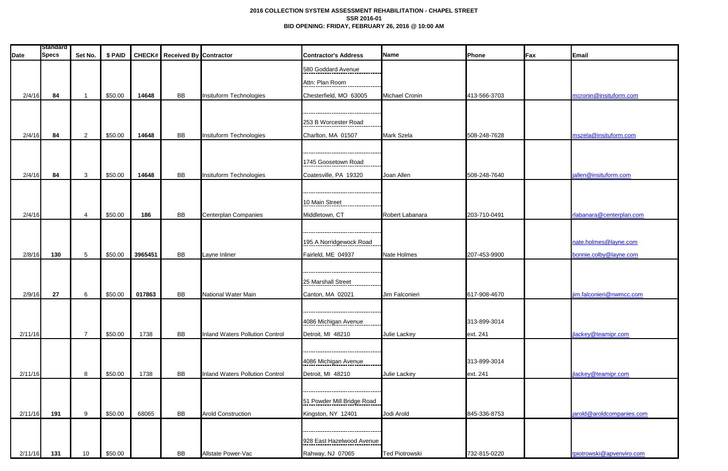## **2016 COLLECTION SYSTEM ASSESSMENT REHABILITATION - CHAPEL STREET SSR 2016-01 BID OPENING: FRIDAY, FEBRUARY 26, 2016 @ 10:00 AM**

|         | <b>Standard</b> |                         |         |         |                                      |                                 |                                     |                       |              |     |                           |
|---------|-----------------|-------------------------|---------|---------|--------------------------------------|---------------------------------|-------------------------------------|-----------------------|--------------|-----|---------------------------|
| Date    | <b>Specs</b>    | Set No.                 | \$ PAID |         | <b>CHECK#</b> Received By Contractor |                                 | <b>Contractor's Address</b>         | Name                  | Phone        | Fax | Email                     |
|         |                 |                         |         |         |                                      |                                 | 580 Goddard Avenue                  |                       |              |     |                           |
|         |                 |                         |         |         |                                      |                                 | Attn: Plan Room                     |                       |              |     |                           |
| 2/4/16  | 84              | $\overline{\mathbf{1}}$ | \$50.00 | 14648   | <b>BB</b>                            | Insituform Technologies         | Chesterfield, MO 63005              | <b>Michael Cronin</b> | 413-566-3703 |     | mcronin@insituform.com    |
|         |                 |                         |         |         |                                      |                                 |                                     |                       |              |     |                           |
|         |                 |                         |         |         |                                      |                                 |                                     |                       |              |     |                           |
|         |                 |                         |         |         |                                      |                                 | 253 B Worcester Road                |                       |              |     |                           |
| 2/4/16  | 84              | $\overline{2}$          | \$50.00 | 14648   | <b>BB</b>                            | Insituform Technologies         | Charlton, MA 01507                  | <b>Mark Szela</b>     | 508-248-7628 |     | mszela@insituform.com     |
|         |                 |                         |         |         |                                      |                                 |                                     |                       |              |     |                           |
|         |                 |                         |         |         |                                      |                                 | 1745 Goosetown Road                 |                       |              |     |                           |
| 2/4/16  | 84              | 3                       | \$50.00 | 14648   | BB                                   | Insituform Technologies         | Coatesville, PA 19320               | Joan Allen            | 508-248-7640 |     | jallen@insituform.com     |
|         |                 |                         |         |         |                                      |                                 |                                     |                       |              |     |                           |
|         |                 |                         |         |         |                                      |                                 | 10 Main Street                      |                       |              |     |                           |
|         |                 | $\boldsymbol{4}$        |         | 186     | <b>BB</b>                            |                                 |                                     |                       |              |     | rlabanara@centerplan.com  |
| 2/4/16  |                 |                         | \$50.00 |         |                                      | Centerplan Companies            | Middletown, CT                      | Robert Labanara       | 203-710-0491 |     |                           |
|         |                 |                         |         |         |                                      |                                 |                                     |                       |              |     |                           |
|         |                 |                         |         |         |                                      |                                 | 195 A Norridgewock Road             |                       |              |     | nate.holmes@layne.com     |
| 2/8/16  | 130             | 5                       | \$50.00 | 3965451 | <b>BB</b>                            | Layne Inliner                   | Fairleld, ME 04937                  | Nate Holmes           | 207-453-9900 |     | bonnie.colby@layne.com    |
|         |                 |                         |         |         |                                      |                                 |                                     |                       |              |     |                           |
|         |                 |                         |         |         |                                      |                                 | 25 Marshall Street                  |                       |              |     |                           |
| 2/9/16  | 27              | 6                       | \$50.00 | 017863  | <b>BB</b>                            | <b>National Water Main</b>      | Canton, MA 02021                    | Jim Falconieri        | 617-908-4670 |     | jim.falconieri@nwmcc.com  |
|         |                 |                         |         |         |                                      |                                 |                                     |                       |              |     |                           |
|         |                 |                         |         |         |                                      |                                 | . --------------------------------- |                       |              |     |                           |
|         |                 |                         |         |         |                                      |                                 | 4086 Michigan Avenue                |                       | 313-899-3014 |     |                           |
| 2/11/16 |                 | $\overline{7}$          | \$50.00 | 1738    | BB                                   | Inland Waters Pollution Control | Detroit, MI 48210                   | Julie Lackey          | ext. 241     |     | jlackey@teamipr.com       |
|         |                 |                         |         |         |                                      |                                 |                                     |                       |              |     |                           |
|         |                 |                         |         |         |                                      |                                 | 4086 Michigan Avenue                |                       | 313-899-3014 |     |                           |
| 2/11/16 |                 | 8                       | \$50.00 | 1738    | BB                                   | Inland Waters Pollution Control | Detroit, MI 48210                   | Julie Lackey          | ext. 241     |     | jlackey@teamipr.com       |
|         |                 |                         |         |         |                                      |                                 |                                     |                       |              |     |                           |
|         |                 |                         |         |         |                                      |                                 |                                     |                       |              |     |                           |
|         |                 |                         |         |         |                                      |                                 | 51 Powder Mill Bridge Road          |                       |              |     |                           |
| 2/11/16 | 191             | 9                       | \$50.00 | 68065   | BB                                   | <b>Arold Construction</b>       | Kingston, NY 12401                  | Jodi Arold            | 845-336-8753 |     | jarold@aroldcompanies.com |
|         |                 |                         |         |         |                                      |                                 |                                     |                       |              |     |                           |
|         |                 |                         |         |         |                                      |                                 | 928 East Hazelwood Avenue           |                       |              |     |                           |
| 2/11/16 | 131             | 10                      | \$50.00 |         | <b>BB</b>                            | Allstate Power-Vac              | Rahway, NJ 07065                    | <b>Ted Piotrowski</b> | 732-815-0220 |     | tpiotrowski@apvenviro.com |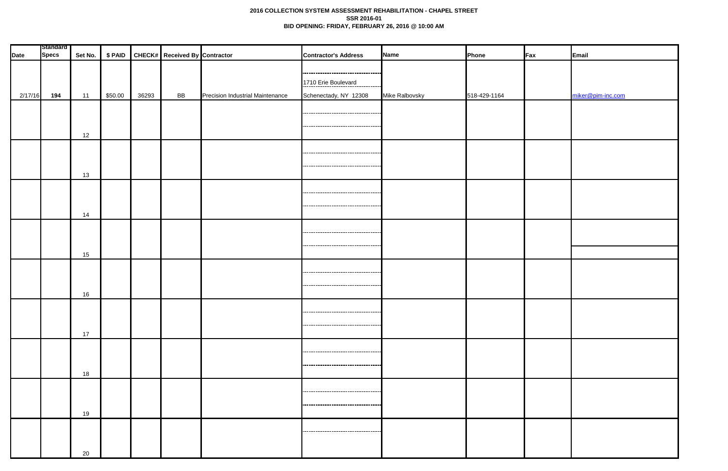## **2016 COLLECTION SYSTEM ASSESSMENT REHABILITATION - CHAPEL STREET SSR 2016-01 BID OPENING: FRIDAY, FEBRUARY 26, 2016 @ 10:00 AM**

| Standard    |              |         |         |       |                                       |                                  |                                       |                |              |                 |                   |
|-------------|--------------|---------|---------|-------|---------------------------------------|----------------------------------|---------------------------------------|----------------|--------------|-----------------|-------------------|
| <b>Date</b> | <b>Specs</b> | Set No. |         |       | \$ PAID CHECK# Received By Contractor |                                  | <b>Contractor's Address</b>           | Name           | Phone        | $\mathsf{F}$ ax | Email             |
|             |              |         |         |       |                                       |                                  |                                       |                |              |                 |                   |
|             |              |         |         |       |                                       |                                  |                                       |                |              |                 |                   |
|             |              |         |         |       |                                       |                                  | 1710 Erie Boulevard                   |                |              |                 |                   |
| 2/17/16     | 194          | 11      | \$50.00 | 36293 | <b>BB</b>                             | Precision Industrial Maintenance | Schenectady, NY 12308                 | Mike Ralbovsky | 518-429-1164 |                 | miker@pim-inc.com |
|             |              |         |         |       |                                       |                                  |                                       |                |              |                 |                   |
|             |              |         |         |       |                                       |                                  | ,,,,,,,,,,,,,,,,,,,,,,,,,,,,,,,,,     |                |              |                 |                   |
|             |              |         |         |       |                                       |                                  | ---------------------------------     |                |              |                 |                   |
|             |              | 12      |         |       |                                       |                                  |                                       |                |              |                 |                   |
|             |              |         |         |       |                                       |                                  |                                       |                |              |                 |                   |
|             |              |         |         |       |                                       |                                  |                                       |                |              |                 |                   |
|             |              |         |         |       |                                       |                                  |                                       |                |              |                 |                   |
|             |              | 13      |         |       |                                       |                                  |                                       |                |              |                 |                   |
|             |              |         |         |       |                                       |                                  |                                       |                |              |                 |                   |
|             |              |         |         |       |                                       |                                  |                                       |                |              |                 |                   |
|             |              |         |         |       |                                       |                                  |                                       |                |              |                 |                   |
|             |              | 14      |         |       |                                       |                                  |                                       |                |              |                 |                   |
|             |              |         |         |       |                                       |                                  |                                       |                |              |                 |                   |
|             |              |         |         |       |                                       |                                  | ,,,,,,,,,,,,,,,,,,,,,,,,,,,,,,,,,     |                |              |                 |                   |
|             |              |         |         |       |                                       |                                  | ---------------------------------     |                |              |                 |                   |
|             |              | 15      |         |       |                                       |                                  |                                       |                |              |                 |                   |
|             |              |         |         |       |                                       |                                  |                                       |                |              |                 |                   |
|             |              |         |         |       |                                       |                                  | -------------------------             |                |              |                 |                   |
|             |              |         |         |       |                                       |                                  | -------------------------------       |                |              |                 |                   |
|             |              | 16      |         |       |                                       |                                  |                                       |                |              |                 |                   |
|             |              |         |         |       |                                       |                                  |                                       |                |              |                 |                   |
|             |              |         |         |       |                                       |                                  | ------------------------------------  |                |              |                 |                   |
|             |              |         |         |       |                                       |                                  |                                       |                |              |                 |                   |
|             |              | 17      |         |       |                                       |                                  |                                       |                |              |                 |                   |
|             |              |         |         |       |                                       |                                  |                                       |                |              |                 |                   |
|             |              |         |         |       |                                       |                                  | ----------------------------------    |                |              |                 |                   |
|             |              |         |         |       |                                       |                                  | ------------------------------------  |                |              |                 |                   |
|             |              | 18      |         |       |                                       |                                  |                                       |                |              |                 |                   |
|             |              |         |         |       |                                       |                                  |                                       |                |              |                 |                   |
|             |              |         |         |       |                                       |                                  | ------------------------------------- |                |              |                 |                   |
|             |              |         |         |       |                                       |                                  | ------------------------------------  |                |              |                 |                   |
|             |              | 19      |         |       |                                       |                                  |                                       |                |              |                 |                   |
|             |              |         |         |       |                                       |                                  |                                       |                |              |                 |                   |
|             |              |         |         |       |                                       |                                  |                                       |                |              |                 |                   |
|             |              |         |         |       |                                       |                                  |                                       |                |              |                 |                   |
|             |              |         |         |       |                                       |                                  |                                       |                |              |                 |                   |
|             |              | 20      |         |       |                                       |                                  |                                       |                |              |                 |                   |